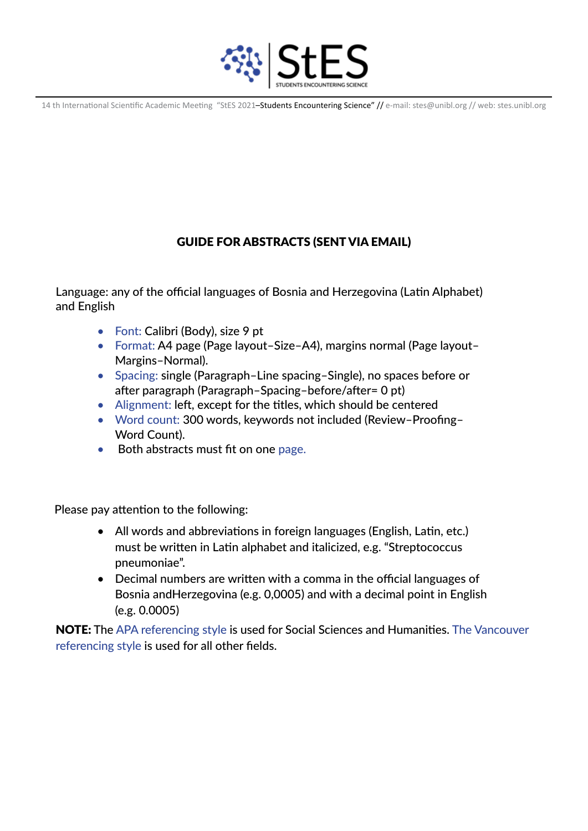

14 th International Scientific Academic Meeting "StES 2021-Students Encountering Science" // e-mail: stes@unibl.org // web: stes.unibl.org

# GUIDE FOR ABSTRACTS (SENT VIA EMAIL)

Language: any of the official languages of Bosnia and Herzegovina (Latin Alphabet) and English

- Font: Calibri (Body), size 9 pt
- Format: A4 page (Page layout–Size–A4), margins normal (Page layout– Margins–Normal).
- Spacing: single (Paragraph–Line spacing–Single), no spaces before or after paragraph (Paragraph–Spacing–before/after= 0 pt)
- Alignment: left, except for the titles, which should be centered
- Word count: 300 words, keywords not included (Review–Proofing– Word Count).
- Both abstracts must fit on one page.

Please pay attention to the following:

- All words and abbreviations in foreign languages (English, Latin, etc.) must be written in Latin alphabet and italicized, e.g. "Streptococcus pneumoniae".
- Decimal numbers are written with a comma in the official languages of Bosnia andHerzegovina (e.g. 0,0005) and with a decimal point in English (e.g. 0.0005)

NOTE: The APA referencing style is used for Social Sciences and Humanities. The Vancouver referencing style is used for all other fields.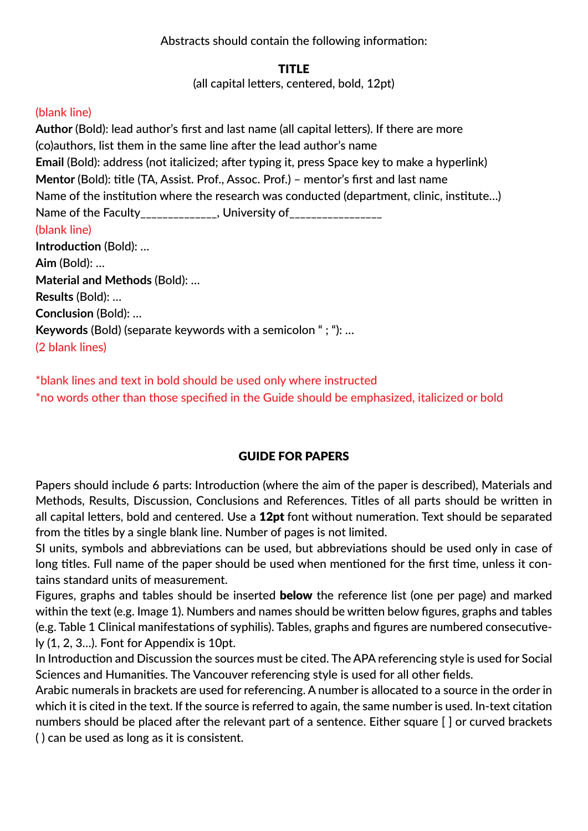# Abstracts should contain the following information:

#### TITLE

(all capital letters, centered, bold, 12pt)

#### (blank line)

**Author** (Bold): lead author's first and last name (all capital letters). If there are more (co)authors, list them in the same line after the lead author's name **Email** (Bold): address (not italicized; after typing it, press Space key to make a hyperlink) **Mentor** (Bold): title (TA, Assist. Prof., Assoc. Prof.) – mentor's first and last name Name of the institution where the research was conducted (department, clinic, institute…) Name of the Faculty\_\_\_\_\_\_\_\_\_\_\_\_, University of\_\_\_\_\_\_\_\_\_\_\_\_\_\_\_\_ (blank line) **Introduction** (Bold): … **Aim** (Bold): … **Material and Methods** (Bold): … **Results** (Bold): … **Conclusion** (Bold): … **Keywords** (Bold) (separate keywords with a semicolon " ; "): … (2 blank lines)

\*blank lines and text in bold should be used only where instructed \*no words other than those specified in the Guide should be emphasized, italicized or bold

## GUIDE FOR PAPERS

Papers should include 6 parts: Introduction (where the aim of the paper is described), Materials and Methods, Results, Discussion, Conclusions and References. Titles of all parts should be written in all capital letters, bold and centered. Use a 12pt font without numeration. Text should be separated from the titles by a single blank line. Number of pages is not limited.

SI units, symbols and abbreviations can be used, but abbreviations should be used only in case of long titles. Full name of the paper should be used when mentioned for the first time, unless it contains standard units of measurement.

Figures, graphs and tables should be inserted **below** the reference list (one per page) and marked within the text (e.g. Image 1). Numbers and names should be written below figures, graphs and tables (e.g. Table 1 Clinical manifestations of syphilis). Tables, graphs and figures are numbered consecutively (1, 2, 3…). Font for Appendix is 10pt.

In Introduction and Discussion the sources must be cited. The APA referencing style is used for Social Sciences and Humanities. The Vancouver referencing style is used for all other fields.

Arabic numerals in brackets are used for referencing. A number is allocated to a source in the order in which it is cited in the text. If the source is referred to again, the same number is used. In-text citation numbers should be placed after the relevant part of a sentence. Either square [ ] or curved brackets ( ) can be used as long as it is consistent.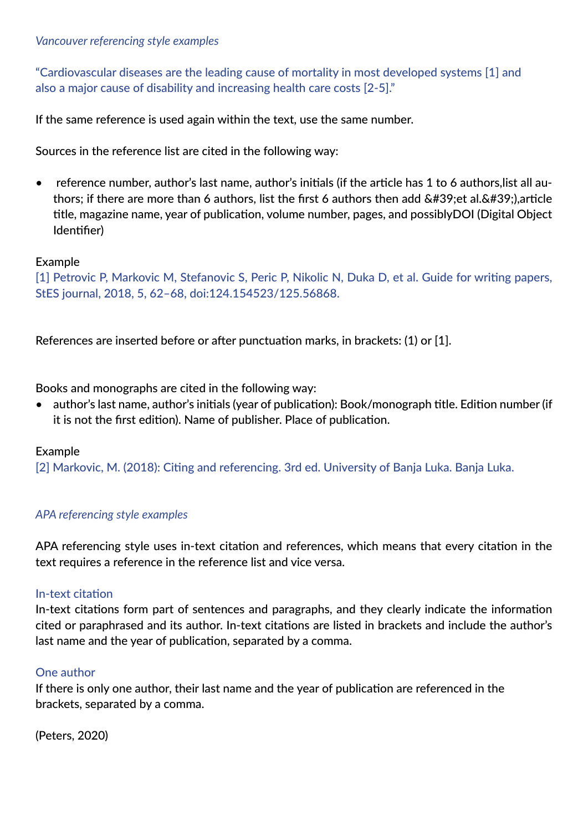"Cardiovascular diseases are the leading cause of mortality in most developed systems [1] and also a major cause of disability and increasing health care costs [2-5]."

If the same reference is used again within the text, use the same number.

Sources in the reference list are cited in the following way:

• reference number, author's last name, author's initials (if the article has 1 to 6 authors,list all authors; if there are more than 6 authors, list the first 6 authors then add  $\&\#39$ ; et al. $&\#39$ ;),article title, magazine name, year of publication, volume number, pages, and possiblyDOI (Digital Object Identifier)

#### Example

[1] Petrovic P, Markovic M, Stefanovic S, Peric P, Nikolic N, Duka D, et al. Guide for writing papers, StES journal, 2018, 5, 62–68, doi:124.154523/125.56868.

References are inserted before or after punctuation marks, in brackets: (1) or [1].

Books and monographs are cited in the following way:

• author's last name, author's initials (year of publication): Book/monograph title. Edition number (if it is not the first edition). Name of publisher. Place of publication.

## Example

[2] Markovic, M. (2018): Citing and referencing. 3rd ed. University of Banja Luka. Banja Luka.

## *APA referencing style examples*

APA referencing style uses in-text citation and references, which means that every citation in the text requires a reference in the reference list and vice versa.

#### In-text citation

In-text citations form part of sentences and paragraphs, and they clearly indicate the information cited or paraphrased and its author. In-text citations are listed in brackets and include the author's last name and the year of publication, separated by a comma.

## One author

If there is only one author, their last name and the year of publication are referenced in the brackets, separated by a comma.

(Peters, 2020)